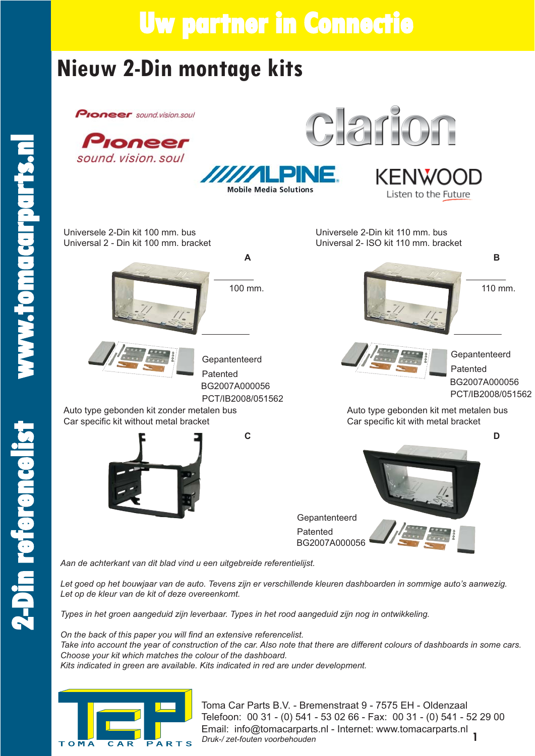### **Nieuw 2-Din montage kits**

**Proneer** sound.vision.soul



*Aan de achterkant van dit blad vind u een uitgebreide referentielijst.*

*Let goed op het bouwjaar van de auto. Tevens zijn er verschillende kleuren dashboarden in sommige auto's aanwezig. Let op de kleur van de kit of deze overeenkomt.*

*Types in het groen aangeduid zijn leverbaar. Types in het rood aangeduid zijn nog in ontwikkeling.*

On the back of this paper you will find an extensive referencelist. *Take into account the year of construction of the car. Also note that there are different colours of dashboards in some cars. Choose your kit which matches the colour of the dashboard. Kits indicated in green are available. Kits indicated in red are under development.*



**1** Toma Car Parts B.V. - Bremenstraat 9 - 7575 EH - Oldenzaal Telefoon: 00 31 - (0) 541 - 53 02 66 - Fax: 00 31 - (0) 541 - 52 29 00 Email: info@tomacarparts.nl - Internet: www.tomacarparts.nl Druk-/ zet-fouten voorbehouden

**2- D i**

**n ref**

**e**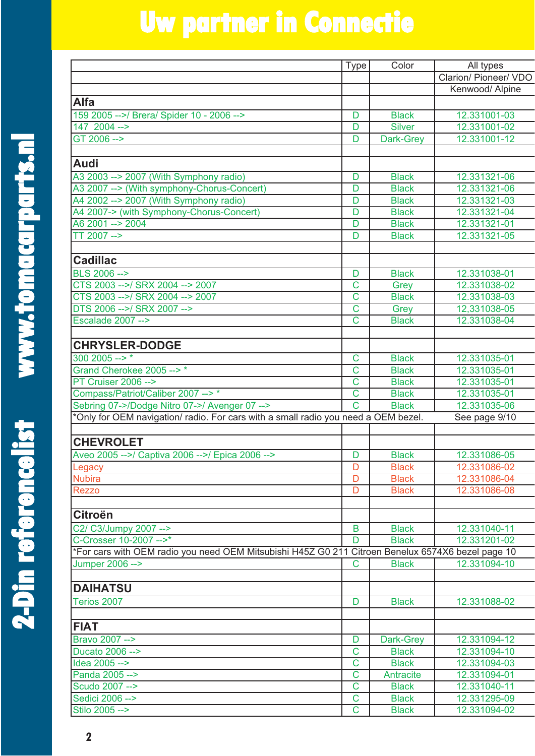**2 - D i**

**n ref**

**e**

|                                                                                                   | <b>Type</b>           | Color                        | All types                    |
|---------------------------------------------------------------------------------------------------|-----------------------|------------------------------|------------------------------|
|                                                                                                   |                       |                              | Clarion/ Pioneer/ VDO        |
|                                                                                                   |                       |                              | Kenwood/ Alpine              |
| <b>Alfa</b>                                                                                       |                       |                              |                              |
| 159 2005 -->/ Brera/ Spider 10 - 2006 -->                                                         | D                     | <b>Black</b>                 | 12.331001-03                 |
| 147 2004 -->                                                                                      | D                     | <b>Silver</b>                | 12.331001-02                 |
| GT 2006 -->                                                                                       | D                     | Dark-Grey                    | 12.331001-12                 |
|                                                                                                   |                       |                              |                              |
| <b>Audi</b>                                                                                       |                       |                              |                              |
| A3 2003 --> 2007 (With Symphony radio)                                                            | D                     | <b>Black</b>                 | 12.331321-06                 |
| A3 2007 --> (With symphony-Chorus-Concert)                                                        | D                     | <b>Black</b>                 | 12.331321-06                 |
| A4 2002 -- > 2007 (With Symphony radio)                                                           | D                     | <b>Black</b>                 | 12.331321-03                 |
| A4 2007-> (with Symphony-Chorus-Concert)                                                          | D                     | <b>Black</b>                 | 12.331321-04                 |
| A6 2001 --> 2004                                                                                  | D                     | <b>Black</b>                 | 12.331321-01                 |
| TT 2007 -->                                                                                       | D                     | <b>Black</b>                 | 12.331321-05                 |
|                                                                                                   |                       |                              |                              |
| <b>Cadillac</b>                                                                                   |                       |                              |                              |
| BLS 2006 -->                                                                                      | D                     | <b>Black</b>                 | 12.331038-01                 |
| CTS 2003 -->/ SRX 2004 --> 2007                                                                   | $\overline{\text{C}}$ |                              | 12.331038-02                 |
| CTS 2003 -->/ SRX 2004 --> 2007                                                                   | $\overline{C}$        | Grey<br><b>Black</b>         | 12.331038-03                 |
| DTS 2006 -->/ SRX 2007 -->                                                                        | $\mathsf{C}$          |                              | 12,331038-05                 |
| Escalade 2007 -->                                                                                 | $\overline{\text{c}}$ | Grey<br><b>Black</b>         | 12.331038-04                 |
|                                                                                                   |                       |                              |                              |
| <b>CHRYSLER-DODGE</b>                                                                             |                       |                              |                              |
| $300\,2005 -- >$ *                                                                                | $\mathbf C$           | <b>Black</b>                 | 12.331035-01                 |
| Grand Cherokee 2005 -->*                                                                          | $\mathsf{C}$          | <b>Black</b>                 | 12.331035-01                 |
| <b>PT Cruiser 2006 --&gt;</b>                                                                     | $\overline{C}$        | <b>Black</b>                 | 12.331035-01                 |
| Compass/Patriot/Caliber 2007 -->*                                                                 | $\overline{C}$        | <b>Black</b>                 | 12.331035-01                 |
| Sebring 07->/Dodge Nitro 07->/ Avenger 07 -->                                                     | $\overline{\text{c}}$ | <b>Black</b>                 | 12.331035-06                 |
| *Only for OEM navigation/ radio. For cars with a small radio you need a OEM bezel.                |                       |                              | See page 9/10                |
|                                                                                                   |                       |                              |                              |
| <b>CHEVROLET</b>                                                                                  |                       |                              |                              |
|                                                                                                   |                       |                              |                              |
| Aveo 2005 -->/ Captiva 2006 -->/ Epica 2006 -->                                                   | D                     | <b>Black</b>                 | 12.331086-05                 |
| Legacy<br><b>Nubira</b>                                                                           | D<br>D                | <b>Black</b><br><b>Black</b> | 12.331086-02<br>12.331086-04 |
|                                                                                                   | D                     |                              | 12.331086-08                 |
| <b>Rezzo</b>                                                                                      |                       | <b>Black</b>                 |                              |
|                                                                                                   |                       |                              |                              |
| <b>Citroën</b>                                                                                    |                       |                              |                              |
| C2/ C3/Jumpy 2007 -->                                                                             | B                     | <b>Black</b>                 | 12.331040-11                 |
| C-Crosser 10-2007 -- >*                                                                           | D                     | <b>Black</b>                 | 12.331201-02                 |
| *For cars with OEM radio you need OEM Mitsubishi H45Z G0 211 Citroen Benelux 6574X6 bezel page 10 |                       |                              |                              |
| Jumper 2006 -->                                                                                   | $\mathsf C$           | <b>Black</b>                 | 12.331094-10                 |
|                                                                                                   |                       |                              |                              |
| <b>DAIHATSU</b>                                                                                   |                       |                              |                              |
| Terios 2007                                                                                       | D                     | <b>Black</b>                 | 12.331088-02                 |
|                                                                                                   |                       |                              |                              |
| <b>FIAT</b>                                                                                       |                       |                              |                              |
| Bravo 2007 -->                                                                                    | D                     | Dark-Grey                    | 12.331094-12                 |
| Ducato 2006 -->                                                                                   | $\mathsf{C}$          | <b>Black</b>                 | 12.331094-10                 |
| Idea 2005 -->                                                                                     | $\overline{C}$        | <b>Black</b>                 | 12.331094-03                 |
| Panda 2005 -->                                                                                    | $\mathsf{C}$          | Antracite                    | 12.331094-01                 |
| Scudo 2007 -->                                                                                    | $\overline{\text{c}}$ | <b>Black</b>                 | 12.331040-11                 |
| Sedici 2006 -->                                                                                   | $\mathbf C$           | <b>Black</b>                 | 12.331295-09                 |
| Stilo 2005 -->                                                                                    | $\mathbf C$           | <b>Black</b>                 | 12.331094-02                 |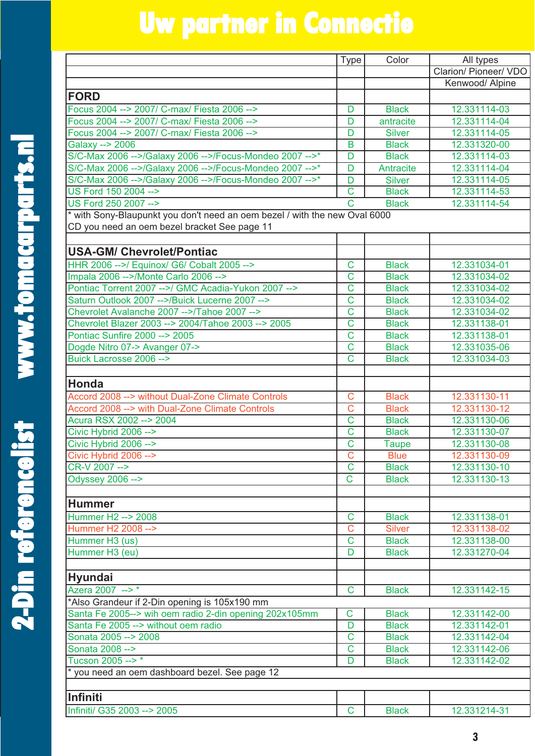|   | $\sum_{i=1}^{n}$                |  |
|---|---------------------------------|--|
|   |                                 |  |
|   |                                 |  |
|   |                                 |  |
|   |                                 |  |
|   |                                 |  |
|   |                                 |  |
|   |                                 |  |
|   |                                 |  |
|   |                                 |  |
|   |                                 |  |
|   |                                 |  |
|   |                                 |  |
|   |                                 |  |
|   |                                 |  |
|   |                                 |  |
|   | j<br>H                          |  |
|   |                                 |  |
|   |                                 |  |
|   |                                 |  |
|   |                                 |  |
|   | <b>THE METHAN CHANGE IS NOT</b> |  |
|   |                                 |  |
|   |                                 |  |
|   | S                               |  |
|   |                                 |  |
|   |                                 |  |
|   |                                 |  |
|   |                                 |  |
|   |                                 |  |
|   |                                 |  |
|   |                                 |  |
|   |                                 |  |
|   |                                 |  |
|   |                                 |  |
|   |                                 |  |
|   |                                 |  |
|   |                                 |  |
|   |                                 |  |
|   |                                 |  |
|   |                                 |  |
|   |                                 |  |
|   |                                 |  |
|   |                                 |  |
|   |                                 |  |
|   |                                 |  |
|   |                                 |  |
|   |                                 |  |
|   |                                 |  |
|   |                                 |  |
|   |                                 |  |
|   | B                               |  |
|   |                                 |  |
|   |                                 |  |
|   | Ę                               |  |
|   | <b>ALGERICAL</b>                |  |
|   |                                 |  |
|   |                                 |  |
|   |                                 |  |
|   |                                 |  |
|   |                                 |  |
|   |                                 |  |
|   |                                 |  |
|   |                                 |  |
|   |                                 |  |
|   | <b>Pin re</b>                   |  |
|   |                                 |  |
| C | FI<br>R                         |  |

|                                                                            | <b>Type</b>           | Color         | All types             |
|----------------------------------------------------------------------------|-----------------------|---------------|-----------------------|
|                                                                            |                       |               | Clarion/ Pioneer/ VDO |
|                                                                            |                       |               | Kenwood/ Alpine       |
| <b>FORD</b>                                                                |                       |               |                       |
| Focus 2004 --> 2007/ C-max/ Fiesta 2006 -->                                | D                     | <b>Black</b>  | 12.331114-03          |
| Focus 2004 --> 2007/ C-max/ Fiesta 2006 -->                                | D                     | antracite     | 12.331114-04          |
| Focus 2004 --> 2007/ C-max/ Fiesta 2006 -->                                | D                     | <b>Silver</b> | 12.331114-05          |
| Galaxy --> 2006                                                            | B                     | <b>Black</b>  | 12.331320-00          |
| S/C-Max 2006 -->/Galaxy 2006 -->/Focus-Mondeo 2007 -->*                    | D                     | <b>Black</b>  | 12.331114-03          |
| S/C-Max 2006 -->/Galaxy 2006 -->/Focus-Mondeo 2007 -->*                    | D                     | Antracite     | 12.331114-04          |
| S/C-Max 2006 -->/Galaxy 2006 -->/Focus-Mondeo 2007 -->*                    | D                     | <b>Silver</b> | 12.331114-05          |
| US Ford 150 2004 -->                                                       | $\overline{\text{C}}$ | <b>Black</b>  | 12.331114-53          |
| US Ford 250 2007 -->                                                       | $\overline{\text{c}}$ | <b>Black</b>  | 12.331114-54          |
| * with Sony-Blaupunkt you don't need an oem bezel / with the new Oval 6000 |                       |               |                       |
| CD you need an oem bezel bracket See page 11                               |                       |               |                       |
|                                                                            |                       |               |                       |
| <b>USA-GM/ Chevrolet/Pontiac</b>                                           |                       |               |                       |
| HHR 2006 -->/ Equinox/ G6/ Cobalt 2005 -->                                 | C                     | <b>Black</b>  | 12.331034-01          |
| Impala 2006 -->/Monte Carlo 2006 -->                                       | C                     | <b>Black</b>  | 12.331034-02          |
| Pontiac Torrent 2007 -->/ GMC Acadia-Yukon 2007 -->                        | $\overline{C}$        | <b>Black</b>  | 12.331034-02          |
| Saturn Outlook 2007 -->/Buick Lucerne 2007 -->                             | $\overline{\text{c}}$ | <b>Black</b>  | 12.331034-02          |
| Chevrolet Avalanche 2007 -->/Tahoe 2007 -->                                | $\overline{\text{c}}$ | <b>Black</b>  | 12.331034-02          |
| Chevrolet Blazer 2003 --> 2004/Tahoe 2003 --> 2005                         | $\overline{\text{C}}$ | <b>Black</b>  | 12.331138-01          |
| Pontiac Sunfire 2000 --> 2005                                              | $\overline{\text{c}}$ | <b>Black</b>  | 12.331138-01          |
| Dogde Nitro 07-> Avanger 07->                                              | C                     | <b>Black</b>  | 12.331035-06          |
| Buick Lacrosse 2006 -->                                                    | $\overline{\text{c}}$ | <b>Black</b>  | 12.331034-03          |
|                                                                            |                       |               |                       |
| Honda                                                                      |                       |               |                       |
| Accord 2008 --> without Dual-Zone Climate Controls                         | C                     | <b>Black</b>  | 12.331130-11          |
| Accord 2008 --> with Dual-Zone Climate Controls                            | $\overline{\text{C}}$ | <b>Black</b>  | 12.331130-12          |
| Acura RSX 2002 --> 2004                                                    | $\overline{\text{C}}$ | <b>Black</b>  | 12.331130-06          |
| Civic Hybrid 2006 -->                                                      | $\overline{C}$        | <b>Black</b>  | 12.331130-07          |
| Civic Hybrid 2006 -->                                                      | C                     | <b>Taupe</b>  | 12.331130-08          |
| Civic Hybrid 2006 -->                                                      | $\overline{C}$        | <b>Blue</b>   | 12.331130-09          |
| CR-V 2007 -->                                                              | $\overline{\text{c}}$ | <b>Black</b>  | 12.331130-10          |
| <b>Odyssey 2006 --&gt;</b>                                                 | $\mathsf C$           | <b>Black</b>  | 12.331130-13          |
|                                                                            |                       |               |                       |
| <b>Hummer</b>                                                              |                       |               |                       |
| Hummer H2 --> 2008                                                         | C                     | <b>Black</b>  | 12.331138-01          |
| Hummer H2 2008 -->                                                         | C                     | <b>Silver</b> | 12.331138-02          |
| Hummer H3 (us)                                                             | $\overline{C}$        | <b>Black</b>  | 12.331138-00          |
| Hummer H3 (eu)                                                             | D                     | <b>Black</b>  | 12.331270-04          |
|                                                                            |                       |               |                       |
|                                                                            |                       |               |                       |
| Hyundai                                                                    |                       |               |                       |
| Azera 2007 -->*                                                            | $\mathsf{C}$          | <b>Black</b>  | 12.331142-15          |
| *Also Grandeur if 2-Din opening is 105x190 mm                              |                       |               |                       |
| Santa Fe 2005--> wih oem radio 2-din opening 202x105mm                     | $\mathbf C$           | <b>Black</b>  | 12.331142-00          |
| Santa Fe 2005 --> without oem radio                                        | D                     | <b>Black</b>  | 12.331142-01          |
| Sonata 2005 --> 2008                                                       | C                     | <b>Black</b>  | 12.331142-04          |
| Sonata 2008 -->                                                            | C                     | <b>Black</b>  | 12.331142-06          |
| Tucson 2005 -->*                                                           | D                     | <b>Black</b>  | 12.331142-02          |
| you need an oem dashboard bezel. See page 12                               |                       |               |                       |
|                                                                            |                       |               |                       |
| Infiniti                                                                   |                       |               |                       |
| Infiniti/ G35 2003 --> 2005                                                | C                     | <b>Black</b>  | 12.331214-31          |

**3**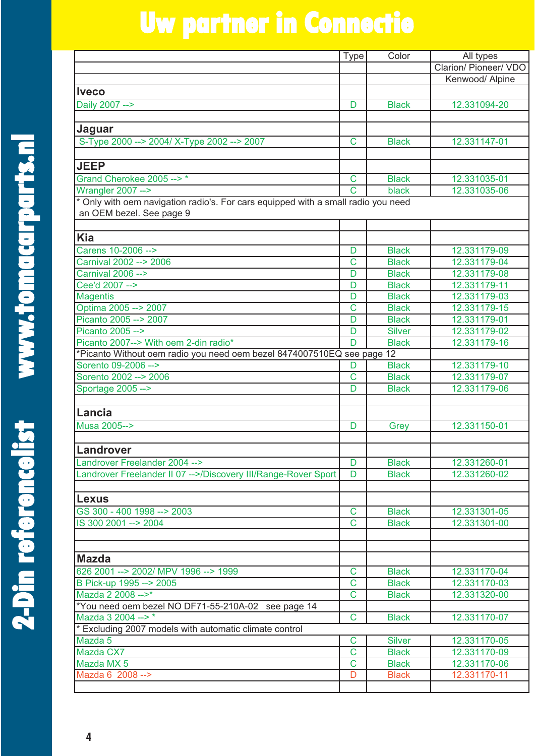Type Color All types

**2 - D i**

**n ref**

**e**

|                                                                                   |                         |               | Clarion/ Pioneer/ VDO |
|-----------------------------------------------------------------------------------|-------------------------|---------------|-----------------------|
|                                                                                   |                         |               | Kenwood/ Alpine       |
| <b>Iveco</b>                                                                      |                         |               |                       |
| Daily 2007 -->                                                                    | D                       | <b>Black</b>  | 12.331094-20          |
| Jaguar                                                                            |                         |               |                       |
| S-Type 2000 --> 2004/ X-Type 2002 --> 2007                                        | $\mathsf C$             | <b>Black</b>  | 12.331147-01          |
| <b>JEEP</b>                                                                       |                         |               |                       |
| Grand Cherokee 2005 -->*                                                          | C                       | <b>Black</b>  | 12.331035-01          |
| Wrangler 2007 -->                                                                 | $\overline{\text{c}}$   | black         | 12.331035-06          |
| * Only with oem navigation radio's. For cars equipped with a small radio you need |                         |               |                       |
| an OEM bezel. See page 9                                                          |                         |               |                       |
| <b>Kia</b>                                                                        |                         |               |                       |
| Carens 10-2006 -->                                                                | D                       | <b>Black</b>  | 12.331179-09          |
| Carnival 2002 --> 2006                                                            | $\overline{C}$          | <b>Black</b>  | 12.331179-04          |
| <b>Carnival 2006 --&gt;</b>                                                       | D                       | <b>Black</b>  | 12.331179-08          |
| Cee'd 2007 -->                                                                    | D                       | <b>Black</b>  | 12.331179-11          |
| <b>Magentis</b>                                                                   | D                       | <b>Black</b>  | 12.331179-03          |
| Optima 2005 --> 2007                                                              | C                       | <b>Black</b>  | 12.331179-15          |
| Picanto 2005 --> 2007                                                             | D                       | <b>Black</b>  | 12.331179-01          |
| Picanto 2005 -->                                                                  | D                       | <b>Silver</b> | 12.331179-02          |
| Picanto 2007--> With oem 2-din radio*                                             | $\overline{D}$          | <b>Black</b>  | 12.331179-16          |
| *Picanto Without oem radio you need oem bezel 8474007510EQ see page 12            |                         |               |                       |
| Sorento 09-2006 -->                                                               | D                       | <b>Black</b>  | 12.331179-10          |
| Sorento 2002 -- > 2006                                                            | $\mathbf C$             | <b>Black</b>  | 12.331179-07          |
| Sportage 2005 -->                                                                 | D                       | <b>Black</b>  | 12.331179-06          |
| Lancia                                                                            |                         |               |                       |
| Musa 2005-->                                                                      | D                       | Grey          | 12.331150-01          |
| Landrover                                                                         |                         |               |                       |
| Landrover Freelander 2004 -->                                                     | D                       | <b>Black</b>  | 12.331260-01          |
| Landrover Freelander II 07 -->/Discovery III/Range-Rover Sport                    | D                       | <b>Black</b>  | 12.331260-02          |
| Lexus                                                                             |                         |               |                       |
| GS 300 - 400 1998 --> 2003                                                        | $\overline{C}$          | <b>Black</b>  | 12.331301-05          |
| IS 300 2001 --> 2004                                                              | $\mathbf C$             | <b>Black</b>  | 12.331301-00          |
|                                                                                   |                         |               |                       |
| <b>Mazda</b>                                                                      |                         |               |                       |
| 626 2001 --> 2002/ MPV 1996 --> 1999                                              | $\mathsf C$             | <b>Black</b>  | 12.331170-04          |
| B Pick-up 1995 --> 2005                                                           | $\mathbf C$             | <b>Black</b>  | 12.331170-03          |
| Mazda 2 2008 -- >*                                                                | $\overline{C}$          | <b>Black</b>  | 12.331320-00          |
| *You need oem bezel NO DF71-55-210A-02 see page 14                                |                         |               |                       |
| Mazda 3 2004 -- >*                                                                | $\overline{\mathsf{C}}$ | <b>Black</b>  | 12.331170-07          |
| * Excluding 2007 models with automatic climate control                            |                         |               |                       |
| Mazda 5                                                                           | $\mathbf C$             | <b>Silver</b> | 12.331170-05          |
| Mazda CX7                                                                         | $\mathbf C$             | <b>Black</b>  | 12.331170-09          |
| Mazda MX 5                                                                        | $\mathsf C$             | <b>Black</b>  | 12.331170-06          |
| Mazda 6 2008 -->                                                                  | D                       | <b>Black</b>  | 12.331170-11          |
|                                                                                   |                         |               |                       |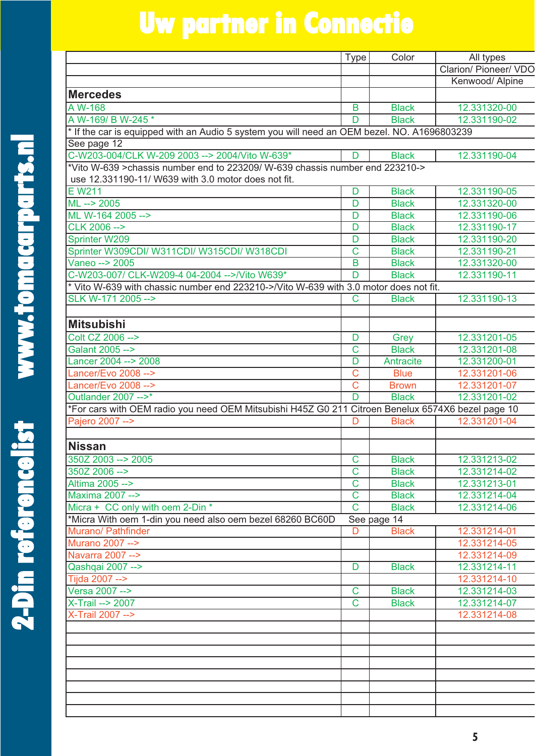| <b>COM</b>                            |  |
|---------------------------------------|--|
|                                       |  |
|                                       |  |
|                                       |  |
|                                       |  |
|                                       |  |
|                                       |  |
|                                       |  |
|                                       |  |
|                                       |  |
|                                       |  |
|                                       |  |
|                                       |  |
|                                       |  |
|                                       |  |
|                                       |  |
|                                       |  |
| J<br>J<br>J<br>J<br>J                 |  |
|                                       |  |
| <b>THE METAL CHANGE</b>               |  |
|                                       |  |
|                                       |  |
|                                       |  |
|                                       |  |
| S                                     |  |
|                                       |  |
|                                       |  |
|                                       |  |
|                                       |  |
|                                       |  |
|                                       |  |
|                                       |  |
|                                       |  |
|                                       |  |
|                                       |  |
|                                       |  |
|                                       |  |
|                                       |  |
|                                       |  |
|                                       |  |
|                                       |  |
|                                       |  |
|                                       |  |
|                                       |  |
|                                       |  |
|                                       |  |
|                                       |  |
|                                       |  |
|                                       |  |
|                                       |  |
|                                       |  |
|                                       |  |
|                                       |  |
|                                       |  |
|                                       |  |
|                                       |  |
|                                       |  |
| THE PERSON<br>$\overline{\mathbf{B}}$ |  |
|                                       |  |
|                                       |  |
|                                       |  |
|                                       |  |
|                                       |  |
| <b>COLLEGE</b>                        |  |
|                                       |  |
|                                       |  |
|                                       |  |
|                                       |  |
| $\frac{1}{2}$                         |  |
|                                       |  |
| I                                     |  |
| H.                                    |  |

|                                                                                                   | <b>Type</b>                | Color                        | All types                    |
|---------------------------------------------------------------------------------------------------|----------------------------|------------------------------|------------------------------|
|                                                                                                   |                            |                              | <b>Clarion/ Pioneer/ VDO</b> |
|                                                                                                   |                            |                              | Kenwood/ Alpine              |
| <b>Mercedes</b>                                                                                   |                            |                              |                              |
| $A \overline{W-168}$                                                                              | B                          | <b>Black</b>                 | 12.331320-00                 |
| A W-169/ B W-245 *                                                                                | D                          | <b>Black</b>                 | 12.331190-02                 |
| * If the car is equipped with an Audio 5 system you will need an OEM bezel. NO. A1696803239       |                            |                              |                              |
| See page 12                                                                                       |                            |                              |                              |
| C-W203-004/CLK W-209 2003 --> 2004/Vito W-639*                                                    | D                          | <b>Black</b>                 | 12.331190-04                 |
| *Vito W-639 >chassis number end to 223209/ W-639 chassis number end 223210->                      |                            |                              |                              |
| use 12.331190-11/ W639 with 3.0 motor does not fit.                                               |                            |                              |                              |
| E W211                                                                                            | D                          | <b>Black</b>                 | 12.331190-05                 |
| $ML \rightarrow 2005$                                                                             | D                          | <b>Black</b>                 | 12.331320-00                 |
| ML W-164 2005 -->                                                                                 | D                          | <b>Black</b>                 | 12.331190-06                 |
| CLK 2006 -->                                                                                      | D                          | <b>Black</b>                 | 12.331190-17                 |
| <b>Sprinter W209</b>                                                                              | D                          | <b>Black</b>                 | 12.331190-20                 |
| Sprinter W309CDI/ W311CDI/ W315CDI/ W318CDI                                                       | $\overline{\text{C}}$      | <b>Black</b>                 | 12.331190-21                 |
| Vaneo --> 2005                                                                                    | B                          | <b>Black</b>                 | 12.331320-00                 |
| C-W203-007/ CLK-W209-4 04-2004 -->/Vito W639*                                                     | D                          | <b>Black</b>                 | 12.331190-11                 |
| * Vito W-639 with chassic number end 223210->/Vito W-639 with 3.0 motor does not fit.             |                            |                              |                              |
| SLK W-171 2005 -->                                                                                | C                          | <b>Black</b>                 | 12.331190-13                 |
|                                                                                                   |                            |                              |                              |
| <b>Mitsubishi</b>                                                                                 |                            |                              |                              |
| Colt CZ 2006 -->                                                                                  | D                          | Grey                         | 12.331201-05                 |
| Galant 2005 -->                                                                                   | $\overline{\text{C}}$      | <b>Black</b>                 | 12.331201-08                 |
| Lancer 2004 --> 2008                                                                              | D                          | <b>Antracite</b>             | 12.331200-01                 |
| Lancer/Evo 2008 -->                                                                               | Ċ                          | <b>Blue</b>                  | 12.331201-06                 |
| Lancer/Evo 2008 -->                                                                               | Ċ                          | <b>Brown</b>                 | 12.331201-07                 |
| Outlander 2007 -->*                                                                               | $\overline{D}$             | <b>Black</b>                 | 12.331201-02                 |
| *For cars with OEM radio you need OEM Mitsubishi H45Z G0 211 Citroen Benelux 6574X6 bezel page 10 |                            |                              |                              |
| Pajero 2007 -->                                                                                   | D                          | <b>Black</b>                 | 12.331201-04                 |
|                                                                                                   |                            |                              |                              |
| <b>Nissan</b>                                                                                     |                            |                              |                              |
| 350Z 2003 --> 2005                                                                                |                            |                              | 12.331213-02                 |
| 350Z 2006 -->                                                                                     | C<br>$\overline{\text{C}}$ | <b>Black</b><br><b>Black</b> | 12.331214-02                 |
| Altima 2005 -->                                                                                   | $\mathsf C$                |                              | 12.331213-01                 |
| Maxima 2007 -->                                                                                   | $\overline{C}$             | <b>Black</b><br><b>Black</b> | 12.331214-04                 |
| Micra + CC only with oem 2-Din *                                                                  | $\mathsf C$                | <b>Black</b>                 | 12.331214-06                 |
| *Micra With oem 1-din you need also oem bezel 68260 BC60D                                         |                            | See page 14                  |                              |
| Murano/ Pathfinder                                                                                | D                          | <b>Black</b>                 | 12.331214-01                 |
| Murano 2007 -->                                                                                   |                            |                              | 12.331214-05                 |
| Navarra 2007 -->                                                                                  |                            |                              | 12.331214-09                 |
| Qashqai 2007 -->                                                                                  | D                          | <b>Black</b>                 | 12.331214-11                 |
| Tijda 2007 -->                                                                                    |                            |                              | 12.331214-10                 |
| Versa 2007 -->                                                                                    | C                          | <b>Black</b>                 | 12.331214-03                 |
| <b>X-Trail --&gt; 2007</b>                                                                        | $\overline{\mathbf{C}}$    | <b>Black</b>                 | 12.331214-07                 |
| X-Trail 2007 -->                                                                                  |                            |                              | 12.331214-08                 |
|                                                                                                   |                            |                              |                              |
|                                                                                                   |                            |                              |                              |
|                                                                                                   |                            |                              |                              |
|                                                                                                   |                            |                              |                              |
|                                                                                                   |                            |                              |                              |
|                                                                                                   |                            |                              |                              |
|                                                                                                   |                            |                              |                              |
|                                                                                                   |                            |                              |                              |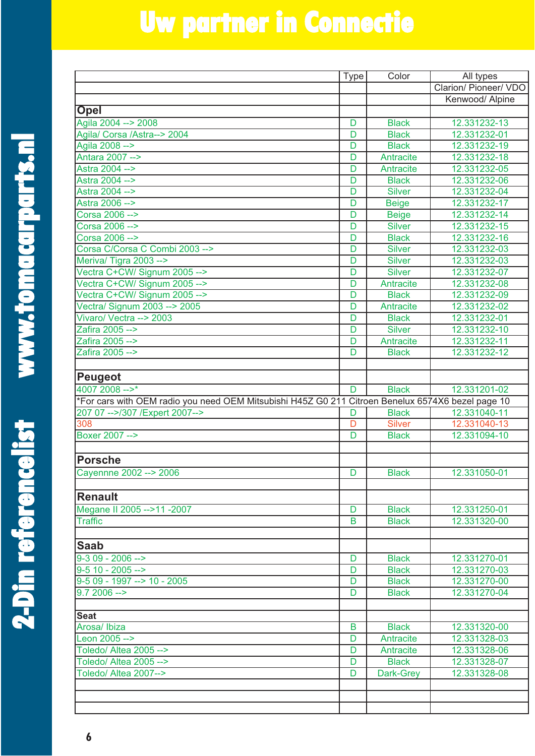| E<br>C<br>C                                                                                                                                                                                                                          |  |
|--------------------------------------------------------------------------------------------------------------------------------------------------------------------------------------------------------------------------------------|--|
|                                                                                                                                                                                                                                      |  |
|                                                                                                                                                                                                                                      |  |
|                                                                                                                                                                                                                                      |  |
|                                                                                                                                                                                                                                      |  |
|                                                                                                                                                                                                                                      |  |
|                                                                                                                                                                                                                                      |  |
|                                                                                                                                                                                                                                      |  |
|                                                                                                                                                                                                                                      |  |
|                                                                                                                                                                                                                                      |  |
|                                                                                                                                                                                                                                      |  |
|                                                                                                                                                                                                                                      |  |
|                                                                                                                                                                                                                                      |  |
|                                                                                                                                                                                                                                      |  |
|                                                                                                                                                                                                                                      |  |
|                                                                                                                                                                                                                                      |  |
|                                                                                                                                                                                                                                      |  |
|                                                                                                                                                                                                                                      |  |
| THREE PRINT                                                                                                                                                                                                                          |  |
|                                                                                                                                                                                                                                      |  |
|                                                                                                                                                                                                                                      |  |
|                                                                                                                                                                                                                                      |  |
|                                                                                                                                                                                                                                      |  |
|                                                                                                                                                                                                                                      |  |
| <b>STAND</b>                                                                                                                                                                                                                         |  |
|                                                                                                                                                                                                                                      |  |
|                                                                                                                                                                                                                                      |  |
|                                                                                                                                                                                                                                      |  |
|                                                                                                                                                                                                                                      |  |
|                                                                                                                                                                                                                                      |  |
|                                                                                                                                                                                                                                      |  |
|                                                                                                                                                                                                                                      |  |
|                                                                                                                                                                                                                                      |  |
| <u>THE MAIN STRIP OF STRIP OF STRIP OF STRIP OF STRIP OF STRIP OF STRIP OF STRIP OF STRIP OF STRIP OF STRIP OF STRIP OF STRIP OF STRIP OF STRIP OF STRIP OF STRIP OF STRIP OF STRIP OF STRIP OF STRIP OF STRIP OF STRIP OF STRIP</u> |  |
|                                                                                                                                                                                                                                      |  |
|                                                                                                                                                                                                                                      |  |
|                                                                                                                                                                                                                                      |  |
|                                                                                                                                                                                                                                      |  |
|                                                                                                                                                                                                                                      |  |
|                                                                                                                                                                                                                                      |  |
|                                                                                                                                                                                                                                      |  |
|                                                                                                                                                                                                                                      |  |
|                                                                                                                                                                                                                                      |  |
|                                                                                                                                                                                                                                      |  |
|                                                                                                                                                                                                                                      |  |
|                                                                                                                                                                                                                                      |  |
|                                                                                                                                                                                                                                      |  |
|                                                                                                                                                                                                                                      |  |
| D<br>L<br>L                                                                                                                                                                                                                          |  |
|                                                                                                                                                                                                                                      |  |
|                                                                                                                                                                                                                                      |  |
|                                                                                                                                                                                                                                      |  |
|                                                                                                                                                                                                                                      |  |
|                                                                                                                                                                                                                                      |  |
| D<br>D<br>D                                                                                                                                                                                                                          |  |
| <b>CHANGE</b>                                                                                                                                                                                                                        |  |
|                                                                                                                                                                                                                                      |  |
|                                                                                                                                                                                                                                      |  |
|                                                                                                                                                                                                                                      |  |
|                                                                                                                                                                                                                                      |  |
|                                                                                                                                                                                                                                      |  |
|                                                                                                                                                                                                                                      |  |
|                                                                                                                                                                                                                                      |  |
|                                                                                                                                                                                                                                      |  |
|                                                                                                                                                                                                                                      |  |
|                                                                                                                                                                                                                                      |  |
|                                                                                                                                                                                                                                      |  |
| Ŗ                                                                                                                                                                                                                                    |  |

|                                                                                                   | <b>Type</b>    | Color            | All types             |
|---------------------------------------------------------------------------------------------------|----------------|------------------|-----------------------|
|                                                                                                   |                |                  | Clarion/ Pioneer/ VDO |
|                                                                                                   |                |                  | Kenwood/ Alpine       |
| Opel                                                                                              |                |                  |                       |
| Agila 2004 --> 2008                                                                               | D              | <b>Black</b>     | 12.331232-13          |
| Agila/ Corsa /Astra--> 2004                                                                       | D              | <b>Black</b>     | 12.331232-01          |
| Agila 2008 -->                                                                                    | D              | <b>Black</b>     | 12.331232-19          |
| Antara 2007 -->                                                                                   | D              | Antracite        | 12.331232-18          |
| Astra 2004 -->                                                                                    | D              | Antracite        | 12.331232-05          |
| Astra 2004 -->                                                                                    | D              | <b>Black</b>     | 12.331232-06          |
| Astra 2004 -->                                                                                    | D              | <b>Silver</b>    | 12.331232-04          |
| Astra 2006 -->                                                                                    | D              | <b>Beige</b>     | 12.331232-17          |
| Corsa 2006 -->                                                                                    | D              | <b>Beige</b>     | 12.331232-14          |
| Corsa 2006 -->                                                                                    | D              | <b>Silver</b>    | 12.331232-15          |
| Corsa 2006 -->                                                                                    | D              | <b>Black</b>     | 12.331232-16          |
| Corsa C/Corsa C Combi 2003 -->                                                                    | D              | <b>Silver</b>    | 12.331232-03          |
| Meriva/ Tigra 2003 -->                                                                            | D              | <b>Silver</b>    | 12.331232-03          |
| Vectra C+CW/ Signum 2005 -->                                                                      | D              | <b>Silver</b>    | 12.331232-07          |
| Vectra C+CW/ Signum 2005 -->                                                                      | D              | <b>Antracite</b> | 12.331232-08          |
| Vectra C+CW/ Signum 2005 -->                                                                      | D              | <b>Black</b>     | 12.331232-09          |
| Vectra/ Signum 2003 --> 2005                                                                      | D              | Antracite        | 12.331232-02          |
| Vivaro/ Vectra --> 2003                                                                           | D              | <b>Black</b>     | 12.331232-01          |
| Zafira 2005 -->                                                                                   | D              | <b>Silver</b>    | 12.331232-10          |
| Zafira 2005 -->                                                                                   | D              | Antracite        | 12.331232-11          |
| Zafira 2005 -->                                                                                   | D              | <b>Black</b>     | 12.331232-12          |
|                                                                                                   |                |                  |                       |
| <b>Peugeot</b>                                                                                    |                |                  |                       |
| $40072008 --$                                                                                     | D              | <b>Black</b>     | 12.331201-02          |
| *For cars with OEM radio you need OEM Mitsubishi H45Z G0 211 Citroen Benelux 6574X6 bezel page 10 |                |                  |                       |
| 207 07 -->/307 / Expert 2007-->                                                                   | D              | <b>Black</b>     | 12.331040-11          |
| 308                                                                                               | $\overline{D}$ | <b>Silver</b>    | 12.331040-13          |
| Boxer 2007 -->                                                                                    | D              | <b>Black</b>     | 12.331094-10          |
|                                                                                                   |                |                  |                       |
| <b>Porsche</b>                                                                                    |                |                  |                       |
| Cayennne 2002 --> 2006                                                                            | D              | <b>Black</b>     | 12.331050-01          |
|                                                                                                   |                |                  |                       |
| <b>Renault</b>                                                                                    |                |                  |                       |
| Megane II 2005 -->11 -2007                                                                        | D              | <b>Black</b>     | 12.331250-01          |
| <b>Traffic</b>                                                                                    | B              | <b>Black</b>     | 12.331320-00          |
|                                                                                                   |                |                  |                       |
| <b>Saab</b>                                                                                       |                |                  |                       |
| $9-309 - 2006 -$                                                                                  | D              | <b>Black</b>     | 12.331270-01          |
| $9-5$ 10 - 2005 -->                                                                               | D              | <b>Black</b>     | 12.331270-03          |
| $9-509 - 1997 \rightarrow 10 - 2005$                                                              | D              | <b>Black</b>     | 12.331270-00          |
| $9.72006 - >$                                                                                     | D              | <b>Black</b>     | 12.331270-04          |
|                                                                                                   |                |                  |                       |
| <b>Seat</b>                                                                                       |                |                  |                       |
| Arosa/Ibiza                                                                                       | B              | <b>Black</b>     | 12.331320-00          |
| Leon 2005 -->                                                                                     | D              | Antracite        | 12.331328-03          |
| Toledo/ Altea 2005 -->                                                                            | D              | Antracite        | 12.331328-06          |
| Toledo/ Altea 2005 -->                                                                            | D              | <b>Black</b>     | 12.331328-07          |
| Toledo/ Altea 2007-->                                                                             | D              | Dark-Grey        | 12.331328-08          |
|                                                                                                   |                |                  |                       |
|                                                                                                   |                |                  |                       |
|                                                                                                   |                |                  |                       |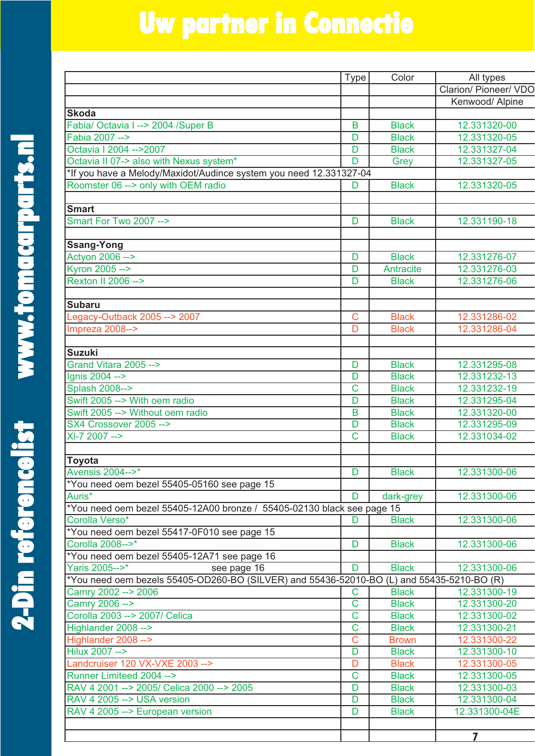| $\ddot{\phantom{0}}$ |  |
|----------------------|--|
|                      |  |
|                      |  |
|                      |  |
|                      |  |
|                      |  |
|                      |  |
|                      |  |
|                      |  |
|                      |  |
|                      |  |
|                      |  |
|                      |  |
|                      |  |
|                      |  |
|                      |  |
|                      |  |
|                      |  |
|                      |  |
|                      |  |
|                      |  |
|                      |  |
|                      |  |
|                      |  |
|                      |  |
|                      |  |
|                      |  |
|                      |  |
|                      |  |
|                      |  |
|                      |  |
|                      |  |
|                      |  |
|                      |  |
|                      |  |
|                      |  |
|                      |  |
|                      |  |
|                      |  |
|                      |  |
|                      |  |
|                      |  |
|                      |  |
|                      |  |
|                      |  |
|                      |  |
|                      |  |
|                      |  |
|                      |  |
|                      |  |
|                      |  |
|                      |  |
|                      |  |
|                      |  |
|                      |  |
|                      |  |
|                      |  |
|                      |  |
|                      |  |
|                      |  |
|                      |  |
|                      |  |
|                      |  |
|                      |  |
|                      |  |
|                      |  |
| <b>2-Din re</b>      |  |

**2 - D i**

|                                                                                           | <b>Type</b>                | Color                        | All types                    |
|-------------------------------------------------------------------------------------------|----------------------------|------------------------------|------------------------------|
|                                                                                           |                            |                              | Clarion/ Pioneer/ VDO        |
|                                                                                           |                            |                              | Kenwood/ Alpine              |
| <b>Skoda</b>                                                                              |                            |                              |                              |
| Fabia/ Octavia I --> 2004 /Super B                                                        | B                          | <b>Black</b>                 | 12.331320-00                 |
| Fabia 2007 -->                                                                            | D                          | <b>Black</b>                 | 12.331320-05                 |
| Octavia I 2004 -- > 2007                                                                  | D                          | <b>Black</b>                 | 12.331327-04                 |
| Octavia II 07-> also with Nexus system*                                                   | $\overline{D}$             | Grey                         | 12.331327-05                 |
| *If you have a Melody/Maxidot/Audince system you need 12.331327-04                        |                            |                              |                              |
| Roomster 06 --> only with OEM radio                                                       | D                          | <b>Black</b>                 | 12.331320-05                 |
|                                                                                           |                            |                              |                              |
| <b>Smart</b>                                                                              |                            |                              |                              |
| Smart For Two 2007 -->                                                                    | D                          | <b>Black</b>                 | 12.331190-18                 |
|                                                                                           |                            |                              |                              |
| <b>Ssang-Yong</b>                                                                         |                            |                              |                              |
| Actyon 2006 -->                                                                           | D                          | <b>Black</b>                 | 12.331276-07                 |
| Kyron 2005 -->                                                                            | D                          | Antracite                    | 12.331276-03                 |
| Rexton II 2006 -->                                                                        | D                          | <b>Black</b>                 | 12.331276-06                 |
|                                                                                           |                            |                              |                              |
| <b>Subaru</b>                                                                             |                            |                              |                              |
| Legacy-Outback 2005 --> 2007                                                              | $\mathsf C$                | <b>Black</b>                 | 12.331286-02                 |
| Impreza 2008-->                                                                           | D                          | <b>Black</b>                 | 12.331286-04                 |
|                                                                                           |                            |                              |                              |
| <b>Suzuki</b><br>Grand Vitara 2005 -->                                                    |                            |                              |                              |
|                                                                                           | D                          | <b>Black</b>                 | 12.331295-08                 |
| Ignis 2004 -->                                                                            | D<br>$\overline{\text{c}}$ | <b>Black</b>                 | 12.331232-13                 |
| Splash 2008--><br>Swift 2005 --> With oem radio                                           | D                          | <b>Black</b><br><b>Black</b> | 12.331232-19<br>12.331295-04 |
| Swift 2005 --> Without oem radio                                                          | B                          | <b>Black</b>                 | 12.331320-00                 |
| SX4 Crossover 2005 -->                                                                    | D                          | <b>Black</b>                 | 12.331295-09                 |
| XI-7 2007 -->                                                                             | C                          | <b>Black</b>                 | 12.331034-02                 |
|                                                                                           |                            |                              |                              |
| Toyota                                                                                    |                            |                              |                              |
| Avensis 2004-->*                                                                          | D                          | <b>Black</b>                 | 12.331300-06                 |
| *You need oem bezel 55405-05160 see page 15                                               |                            |                              |                              |
| Auris <sup>*</sup>                                                                        | D                          | dark-grey                    | 12.331300-06                 |
| *You need oem bezel 55405-12A00 bronze / 55405-02130 black see page 15                    |                            |                              |                              |
| Corolla Verso*                                                                            | D                          | <b>Black</b>                 | 12.331300-06                 |
| *You need oem bezel 55417-0F010 see page 15                                               |                            |                              |                              |
| Corolla 2008-->*                                                                          | D                          | <b>Black</b>                 | 12.331300-06                 |
| *You need oem bezel 55405-12A71 see page 16                                               |                            |                              |                              |
| Yaris 2005-->*<br>see page 16                                                             | D                          | <b>Black</b>                 | 12.331300-06                 |
| *You need oem bezels 55405-OD260-BO (SILVER) and 55436-52010-BO (L) and 55435-5210-BO (R) |                            |                              |                              |
| Camry 2002 --> 2006                                                                       | C                          | <b>Black</b>                 | 12.331300-19                 |
| Camry 2006 -->                                                                            | $\overline{\text{C}}$      | <b>Black</b>                 | 12.331300-20                 |
| Corolla 2003 --> 2007/ Celica                                                             | С                          | <b>Black</b>                 | 12.331300-02                 |
| Highlander 2008 -->                                                                       | $\overline{\text{c}}$      | <b>Black</b>                 | 12.331300-21                 |
| Highlander 2008 -->                                                                       | $\mathsf C$                | <b>Brown</b>                 | 12.331300-22                 |
| Hilux 2007 -->                                                                            | D                          | <b>Black</b>                 | 12.331300-10                 |
| Landcruiser 120 VX-VXE 2003 -->                                                           | D                          | <b>Black</b>                 | 12.331300-05                 |
| Runner Limiteed 2004 -->                                                                  | $\mathsf C$                | <b>Black</b>                 | 12.331300-05                 |
| RAV 4 2001 --> 2005/ Celica 2000 --> 2005                                                 | D                          | <b>Black</b>                 | 12.331300-03                 |
| RAV 4 2005 --> USA version                                                                | D                          | <b>Black</b>                 | 12.331300-04                 |
| RAV 4 2005 -- > European version                                                          | D                          | <b>Black</b>                 | 12.331300-04E                |
|                                                                                           |                            |                              |                              |

**7**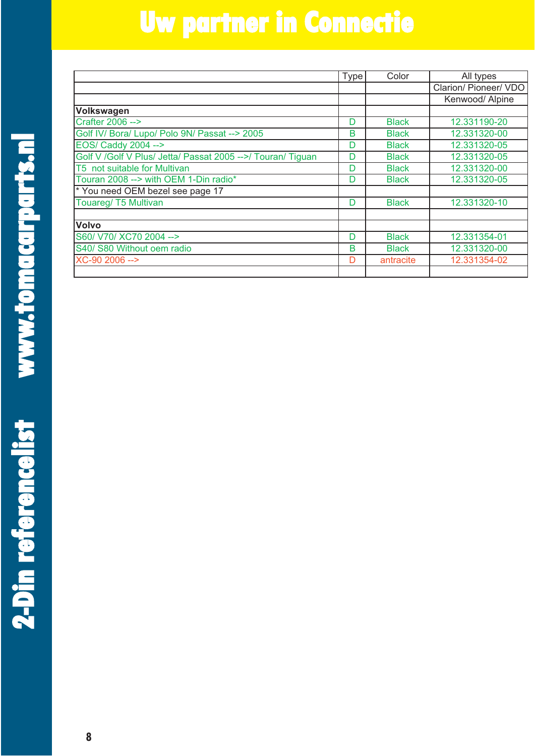**n**

|                                                              | Type | Color        | All types             |
|--------------------------------------------------------------|------|--------------|-----------------------|
|                                                              |      |              | Clarion/ Pioneer/ VDO |
|                                                              |      |              | Kenwood/ Alpine       |
| Volkswagen                                                   |      |              |                       |
| Crafter 2006 -->                                             | D    | <b>Black</b> | 12.331190-20          |
| Golf IV/ Bora/ Lupo/ Polo 9N/ Passat --> 2005                | в    | <b>Black</b> | 12.331320-00          |
| EOS/ Caddy 2004 -->                                          | D    | <b>Black</b> | 12.331320-05          |
| Golf V / Golf V Plus/ Jetta/ Passat 2005 -->/ Touran/ Tiguan | D    | <b>Black</b> | 12.331320-05          |
| T5 not suitable for Multivan                                 | D    | <b>Black</b> | 12.331320-00          |
| Touran 2008 --> with OEM 1-Din radio*                        | D    | <b>Black</b> | 12.331320-05          |
| * You need OEM bezel see page 17                             |      |              |                       |
| Touareg/ T5 Multivan                                         | D    | <b>Black</b> | 12.331320-10          |
| <b>Volvo</b>                                                 |      |              |                       |
| S60/ V70/ XC70 2004 -->                                      | D    | <b>Black</b> | 12.331354-01          |
| S40/ S80 Without oem radio                                   | B    | <b>Black</b> | 12.331320-00          |
| XC-90 2006 -->                                               | D    | antracite    | 12.331354-02          |
|                                                              |      |              |                       |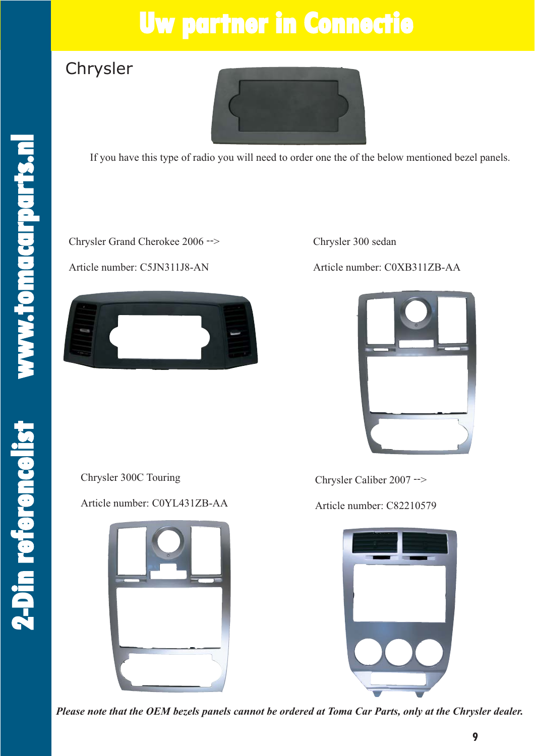#### Chrysler



If you have this type of radio you will need to order one the of the below mentioned bezel panels.

Chrysler Grand Cherokee 2006 -->

Article number: C5JN311J8-AN



Chrysler 300 sedan

Article number: C0XB311ZB-AA



Chrysler 300C Touring

Article number: C0YL431ZB-AA



Chrysler Caliber 2007 -->

Article number: C82210579



*Please note that the OEM bezels panels cannot be ordered at Toma Car Parts, only at the Chrysler dealer.*

**2 - D i**

**n ref**

**e**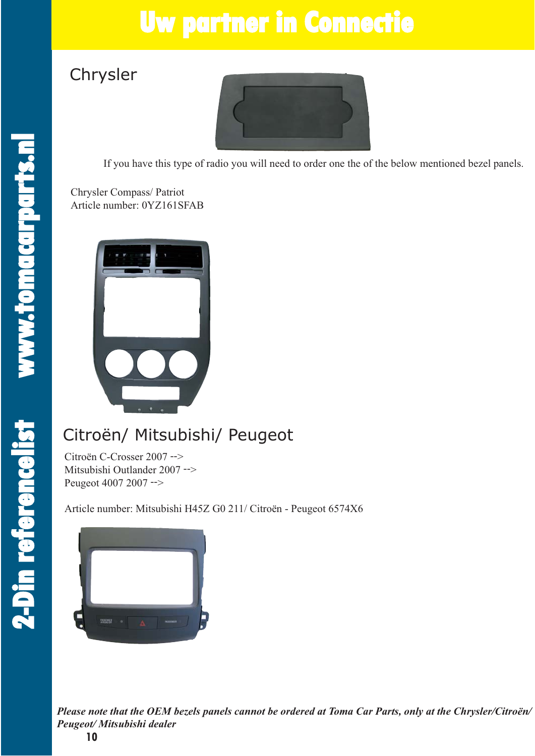#### Chrysler



If you have this type of radio you will need to order one the of the below mentioned bezel panels.

Chrysler Compass/ Patriot Article number: 0YZ161SFAB



#### Citroën/ Mitsubishi/ Peugeot

Citroën C-Crosser 2007 --> Mitsubishi Outlander 2007 --> Peugeot 4007 2007 -->

Article number: Mitsubishi H45Z G0 211/ Citroën - Peugeot 6574X6



*Please note that the OEM bezels panels cannot be ordered at Toma Car Parts, only at the Chrysler/Citroën/ Peugeot/ Mitsubishi dealer*

**2- D i**

**n ref**

**e**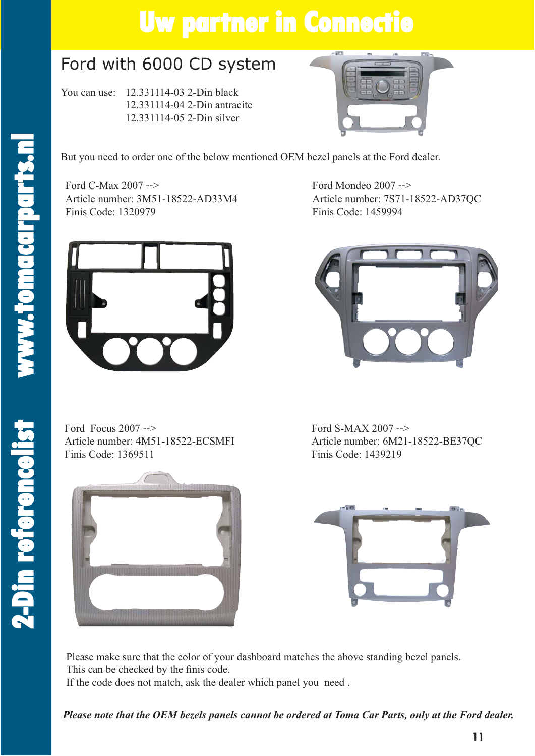#### Ford with 6000 CD system

You can use: 12.331114-03 2-Din black 12.331114-04 2-Din antracite 12.331114-05 2-Din silver



But you need to order one of the below mentioned OEM bezel panels at the Ford dealer.

Ford C-Max 2007 --> Article number: 3M51-18522-AD33M4 Finis Code: 1320979



Ford Focus 2007 --> Article number: 4M51-18522-ECSMFI Finis Code: 1369511



Ford Mondeo 2007 --> Article number: 7S71-18522-AD37QC Finis Code: 1459994



Ford S-MAX 2007 --> Article number: 6M21-18522-BE37QC Finis Code: 1439219



Please make sure that the color of your dashboard matches the above standing bezel panels. This can be checked by the finis code.

If the code does not match, ask the dealer which panel you need .

*Please note that the OEM bezels panels cannot be ordered at Toma Car Parts, only at the Ford dealer.*

**c e l i**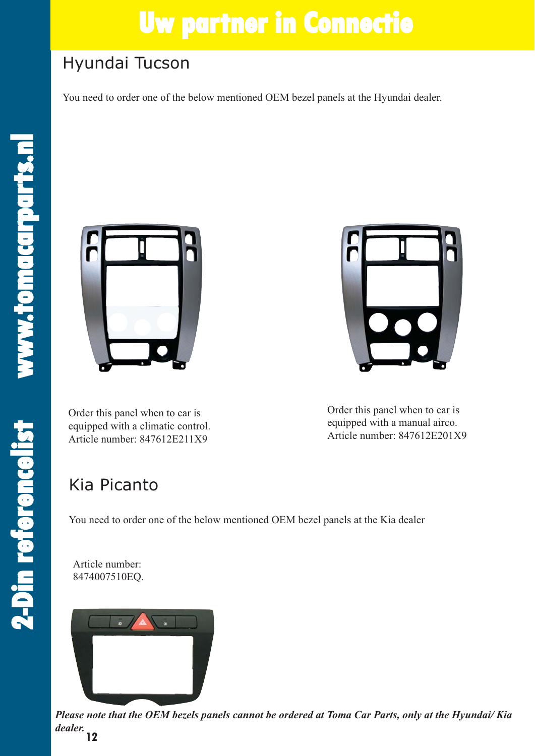#### Hyundai Tucson

You need to order one of the below mentioned OEM bezel panels at the Hyundai dealer.

**2 - D i**

**n ref**

**e**

**re n c e l i**



Order this panel when to car is equipped with a climatic control. Article number: 847612E211X9



Order this panel when to car is equipped with a manual airco. Article number: 847612E201X9

#### Kia Picanto

You need to order one of the below mentioned OEM bezel panels at the Kia dealer

Article number: 8474007510EQ.



**12** *Please note that the OEM bezels panels cannot be ordered at Toma Car Parts, only at the Hyundai/ Kia dealer.*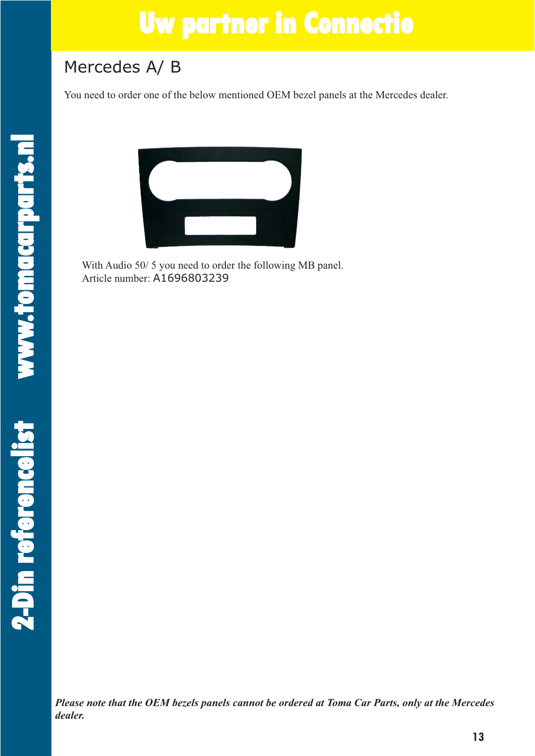#### Mercedes A/ B

You need to order one of the below mentioned OEM bezel panels at the Mercedes dealer.



With Audio 50/ 5 you need to order the following MB panel. Article number: A1696803239

*Please note that the OEM bezels panels cannot be ordered at Toma Car Parts, only at the Mercedes dealer.*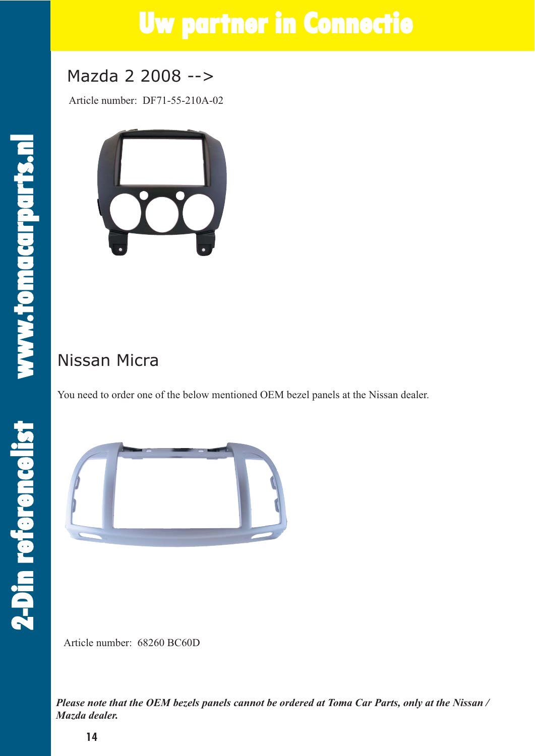#### Mazda 2 2008 -->

Article number: DF71-55-210A-02



#### Nissan Micra

You need to order one of the below mentioned OEM bezel panels at the Nissan dealer.



Article number: 68260 BC60D

*Please note that the OEM bezels panels cannot be ordered at Toma Car Parts, only at the Nissan / Mazda dealer.*

**2 - D i**

**n ref**

**e**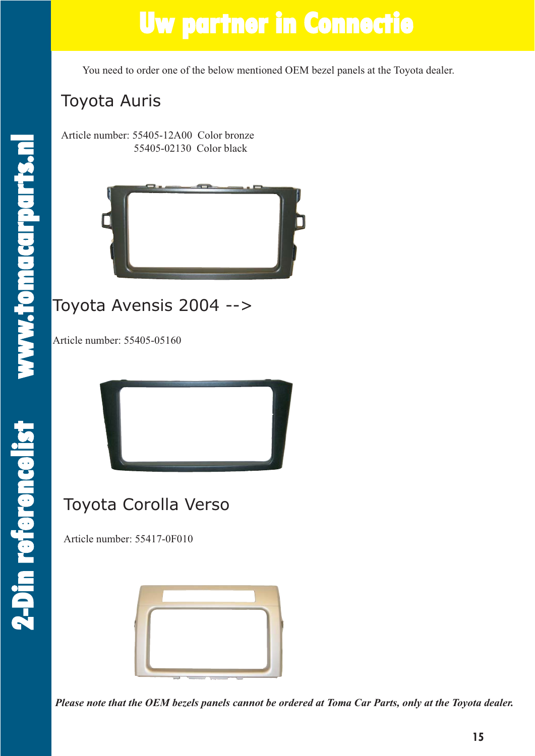You need to order one of the below mentioned OEM bezel panels at the Toyota dealer.

#### Toyota Auris

Article number: 55405-12A00 Color bronze 55405-02130 Color black



#### Toyota Avensis 2004 -->

Article number: 55405-05160



#### Toyota Corolla Verso

Article number: 55417-0F010

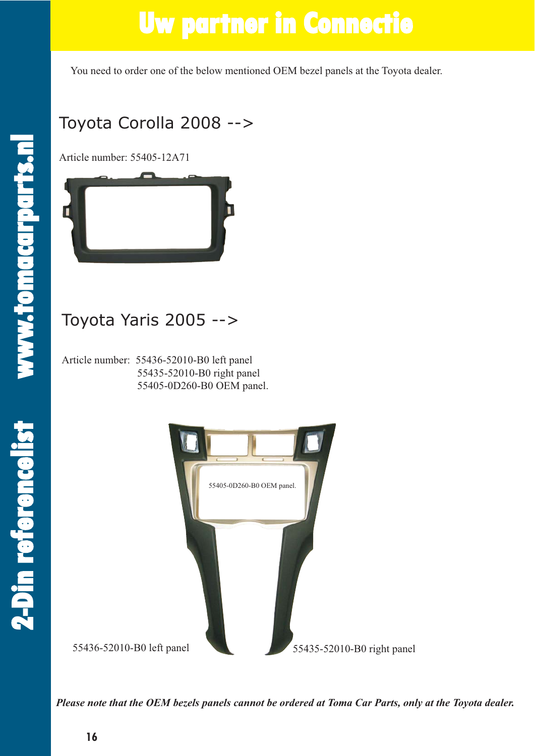You need to order one of the below mentioned OEM bezel panels at the Toyota dealer.

**2 - D i**

**n ref**

**e**

**re n c e l i**

#### Toyota Corolla 2008 -->

Article number: 55405-12A71



Article number: 55436-52010-B0 left panel 55435-52010-B0 right panel 55405-0D260-B0 OEM panel.



*Please note that the OEM bezels panels cannot be ordered at Toma Car Parts, only at the Toyota dealer.*